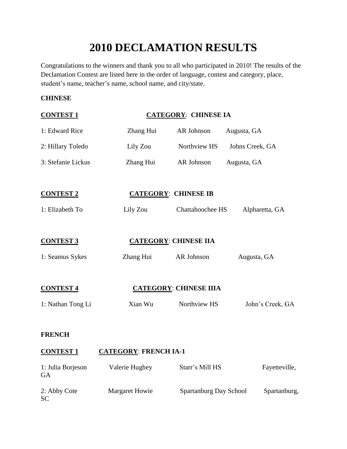# **2010 DECLAMATION RESULTS**

Congratulations to the winners and thank you to all who participated in 2010! The results of the Declamation Contest are listed here in the order of language, contest and category, place, student's name, teacher's name, school name, and city/state.

#### **CHINESE**

SC

| <b>CONTEST 1</b>        |                              | <b>CATEGORY: CHINESE IA</b>   |                  |
|-------------------------|------------------------------|-------------------------------|------------------|
| 1: Edward Rice          | Zhang Hui                    | AR Johnson                    | Augusta, GA      |
| 2: Hillary Toledo       | Lily Zou                     | Northview HS                  | Johns Creek, GA  |
| 3: Stefanie Lickus      | Zhang Hui                    | AR Johnson                    | Augusta, GA      |
| <b>CONTEST 2</b>        |                              | <b>CATEGORY: CHINESE IB</b>   |                  |
| 1: Elizabeth To         | Lily Zou                     | <b>Chattahoochee HS</b>       | Alpharetta, GA   |
| <b>CONTEST 3</b>        |                              | <b>CATEGORY: CHINESE IIA</b>  |                  |
| 1: Seamus Sykes         | Zhang Hui                    | AR Johnson                    | Augusta, GA      |
| <b>CONTEST 4</b>        |                              | <b>CATEGORY: CHINESE IIIA</b> |                  |
| 1: Nathan Tong Li       | Xian Wu                      | Northview HS                  | John's Creek, GA |
| <b>FRENCH</b>           |                              |                               |                  |
| <b>CONTEST 1</b>        | <b>CATEGORY: FRENCH IA-1</b> |                               |                  |
| 1: Julia Borjeson<br>GA | Valerie Hughey               | Starr's Mill HS               | Fayetteville,    |

2: Abby Cote Margaret Howie Spartanburg Day School Spartanburg,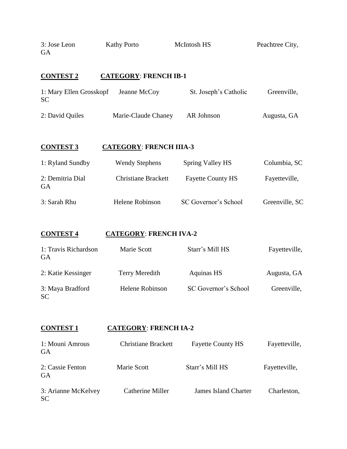| 3: Jose Leon<br><b>GA</b>            | <b>Kathy Porto</b>             | McIntosh HS                 | Peachtree City, |
|--------------------------------------|--------------------------------|-----------------------------|-----------------|
| <b>CONTEST 2</b>                     | <b>CATEGORY: FRENCH IB-1</b>   |                             |                 |
| 1: Mary Ellen Grosskopf<br><b>SC</b> | Jeanne McCoy                   | St. Joseph's Catholic       | Greenville,     |
| 2: David Quiles                      | Marie-Claude Chaney            | AR Johnson                  | Augusta, GA     |
| <b>CONTEST 3</b>                     | <b>CATEGORY: FRENCH IIIA-3</b> |                             |                 |
| 1: Ryland Sundby                     | <b>Wendy Stephens</b>          | <b>Spring Valley HS</b>     | Columbia, SC    |
| 2: Demitria Dial<br><b>GA</b>        | <b>Christiane Brackett</b>     | <b>Fayette County HS</b>    | Fayetteville,   |
| 3: Sarah Rhu                         | Helene Robinson                | SC Governor's School        | Greenville, SC  |
| <b>CONTEST 4</b>                     | <b>CATEGORY: FRENCH IVA-2</b>  |                             |                 |
| 1: Travis Richardson<br><b>GA</b>    | Marie Scott                    | Starr's Mill HS             | Fayetteville,   |
| 2: Katie Kessinger                   | <b>Terry Meredith</b>          | <b>Aquinas HS</b>           | Augusta, GA     |
| 3: Maya Bradford<br>SC               | Helene Robinson                | SC Governor's School        | Greenville,     |
|                                      |                                |                             |                 |
| <b>CONTEST 1</b>                     | <b>CATEGORY: FRENCH IA-2</b>   |                             |                 |
| 1: Mouni Amrous<br><b>GA</b>         | <b>Christiane Brackett</b>     | <b>Fayette County HS</b>    | Fayetteville,   |
| 2: Cassie Fenton<br><b>GA</b>        | Marie Scott                    | Starr's Mill HS             | Fayetteville,   |
| 3: Arianne McKelvey<br><b>SC</b>     | Catherine Miller               | <b>James Island Charter</b> | Charleston,     |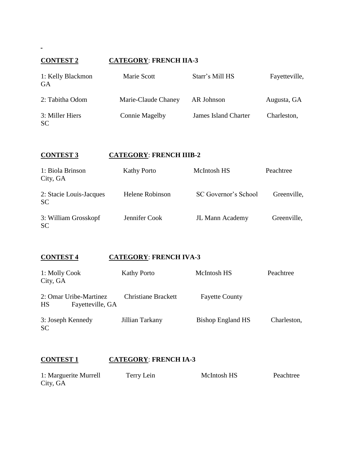# **CONTEST 2 CATEGORY**: **FRENCH IIA-3**

| 1: Kelly Blackmon<br>GA      | Marie Scott           | Starr's Mill HS             | Fayetteville, |
|------------------------------|-----------------------|-----------------------------|---------------|
| 2: Tabitha Odom              | Marie-Claude Chaney   | AR Johnson                  | Augusta, GA   |
| 3: Miller Hiers<br><b>SC</b> | <b>Connie Magelby</b> | <b>James Island Charter</b> | Charleston,   |

| <b>CONTEST 3</b> | <b>CATEGORY: FRENCH IIIB-2</b> |
|------------------|--------------------------------|
|                  |                                |

| 1: Biola Brinson<br>City, GA         | <b>Kathy Porto</b>     | McIntosh HS          | Peachtree   |
|--------------------------------------|------------------------|----------------------|-------------|
| 2: Stacie Louis-Jacques<br><b>SC</b> | <b>Helene Robinson</b> | SC Governor's School | Greenville, |
| 3: William Grosskopf<br><b>SC</b>    | Jennifer Cook          | JL Mann Academy      | Greenville, |

# **CONTEST 4 CATEGORY**: **FRENCH IVA-3**

| 1: Molly Cook<br>City, GA                        | <b>Kathy Porto</b>  | McIntosh HS              | Peachtree   |
|--------------------------------------------------|---------------------|--------------------------|-------------|
| 2: Omar Uribe-Martinez<br>HS<br>Fayetteville, GA | Christiane Brackett | <b>Fayette County</b>    |             |
| 3: Joseph Kennedy<br><b>SC</b>                   | Jillian Tarkany     | <b>Bishop England HS</b> | Charleston, |

# **CONTEST 1 CATEGORY**: **FRENCH IA-3**

| 1: Marguerite Murrell | Terry Lein | McIntosh HS | Peachtree |
|-----------------------|------------|-------------|-----------|
| City, GA              |            |             |           |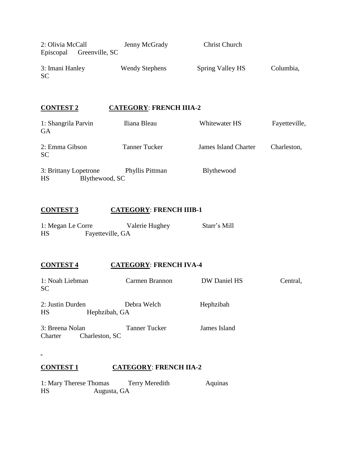| 2: Olivia McCall | Jenny McGrady         | <b>Christ Church</b> |           |
|------------------|-----------------------|----------------------|-----------|
| Episcopal        | Greenville, SC        |                      |           |
|                  |                       |                      |           |
| 3: Imani Hanley  | <b>Wendy Stephens</b> | Spring Valley HS     | Columbia, |
| <b>SC</b>        |                       |                      |           |
|                  |                       |                      |           |

### **CONTEST 2 CATEGORY**: **FRENCH IIIA-2**

| 1: Shangrila Parvin<br><b>GA</b> | Iliana Bleau         | Whitewater HS               | Fayetteville, |
|----------------------------------|----------------------|-----------------------------|---------------|
| 2: Emma Gibson<br><b>SC</b>      | <b>Tanner Tucker</b> | <b>James Island Charter</b> | Charleston,   |
| 3: Brittany Lopetrone            | Phyllis Pittman      | Blythewood                  |               |
| Blythewood, SC<br>HS             |                      |                             |               |

# **CONTEST 3 CATEGORY**: **FRENCH IIIB-1**

| 1: Megan Le Corre |                  | Valerie Hughey | Starr's Mill |
|-------------------|------------------|----------------|--------------|
| HS                | Fayetteville, GA |                |              |

### **CONTEST 4 CATEGORY**: **FRENCH IVA-4**

| 1: Noah Liebman<br><b>SC</b>                 | Carmen Brannon       | DW Daniel HS | Central, |
|----------------------------------------------|----------------------|--------------|----------|
| 2: Justin Durden<br>HS<br>Hephzibah, GA      | Debra Welch          | Hephzibah    |          |
| 3: Breena Nolan<br>Charleston, SC<br>Charter | <b>Tanner Tucker</b> | James Island |          |

#### **CONTEST 1 CATEGORY**: **FRENCH IIA-2**

÷.

| 1: Mary Therese Thomas |             | Terry Meredith | Aquinas |
|------------------------|-------------|----------------|---------|
| HS                     | Augusta, GA |                |         |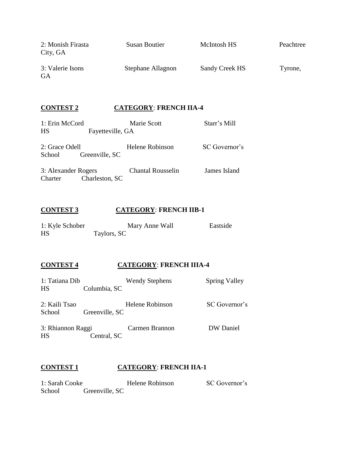| 2: Monish Firasta<br>City, GA | <b>Susan Boutier</b> | McIntosh HS    | Peachtree |
|-------------------------------|----------------------|----------------|-----------|
| 3: Valerie Isons<br>GA        | Stephane Allagnon    | Sandy Creek HS | Tyrone,   |

### **CONTEST 2 CATEGORY**: **FRENCH IIA-4**

| 1: Erin McCord      |                  | Marie Scott              | Starr's Mill  |
|---------------------|------------------|--------------------------|---------------|
| HS                  | Fayetteville, GA |                          |               |
| 2: Grace Odell      |                  | Helene Robinson          | SC Governor's |
| School              | Greenville, SC   |                          |               |
| 3: Alexander Rogers |                  | <b>Chantal Rousselin</b> | James Island  |
| Charter             | Charleston, SC   |                          |               |

### **CONTEST 3 CATEGORY**: **FRENCH IIB-1**

| 1: Kyle Schober | Mary Anne Wall | Eastside |
|-----------------|----------------|----------|
| HS              | Taylors, SC    |          |

#### **CONTEST 4 CATEGORY**: **FRENCH IIIA-4**

| 1: Tatiana Dib<br>HS    | Columbia, SC   | <b>Wendy Stephens</b> | <b>Spring Valley</b> |
|-------------------------|----------------|-----------------------|----------------------|
| 2: Kaili Tsao<br>School | Greenville, SC | Helene Robinson       | SC Governor's        |
| 3: Rhiannon Raggi<br>HS | Central, SC    | Carmen Brannon        | DW Daniel            |

#### **CONTEST 1 CATEGORY**: **FRENCH IIA-1**

1: Sarah Cooke Helene Robinson SC Governor's School Greenville, SC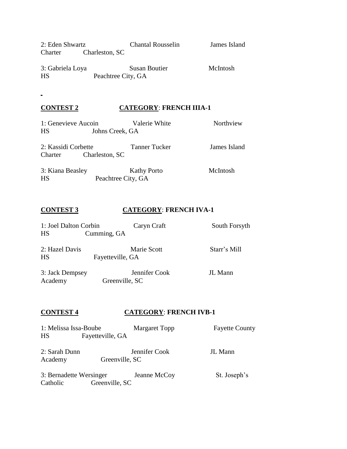2: Eden Shwartz Chantal Rousselin James Island Charter Charleston, SC

3: Gabriela Loya Susan Boutier McIntosh HS Peachtree City, GA

#### **CONTEST 2 CATEGORY**: **FRENCH IIIA-1**

1: Genevieve Aucoin Valerie White Northview HS Johns Creek, GA

2: Kassidi Corbette Tanner Tucker James Island Charter Charleston, SC

3: Kiana Beasley Kathy Porto McIntosh HS Peachtree City, GA

#### **CONTEST 3 CATEGORY**: **FRENCH IVA-1**

| 1: Joel Dalton Corbin<br>HS | Cumming, GA      | Caryn Craft   | South Forsyth |
|-----------------------------|------------------|---------------|---------------|
| 2: Hazel Davis<br>HS        | Fayetteville, GA | Marie Scott   | Starr's Mill  |
| 3: Jack Dempsey             |                  | Jennifer Cook | JL Mann       |

Academy Greenville, SC

#### **CONTEST 4 CATEGORY**: **FRENCH IVB-1**

1: Melissa Issa-Boube Margaret Topp Fayette County HS Fayetteville, GA 2: Sarah Dunn Jennifer Cook JL Mann Academy Greenville, SC

3: Bernadette Wersinger Jeanne McCoy St. Joseph's Catholic Greenville, SC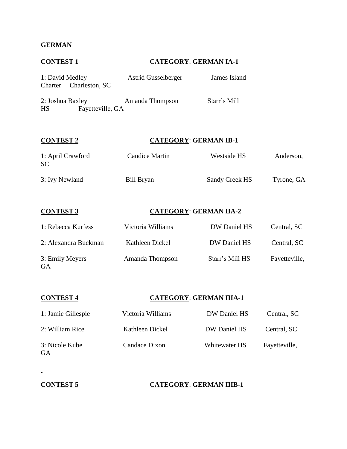#### **GERMAN**

# **CONTEST 1 CATEGORY**: **GERMAN IA-1** 1: David Medley Astrid Gusselberger James Island Charter Charleston, SC 2: Joshua Baxley Amanda Thompson Starr's Mill HS Fayetteville, GA **CONTEST 2 CATEGORY**: **GERMAN IB-1** 1: April Crawford Candice Martin Westside HS Anderson, SC 3: Ivy Newland Bill Bryan Sandy Creek HS Tyrone, GA **CONTEST 3 CATEGORY**: **GERMAN IIA-2** 1: Rebecca Kurfess Victoria Williams DW Daniel HS Central, SC

| 2: Alexandra Buckman  | Kathleen Dickel | DW Daniel HS    | Central, SC   |
|-----------------------|-----------------|-----------------|---------------|
| 3: Emily Meyers<br>GA | Amanda Thompson | Starr's Mill HS | Fayetteville, |

| <b>CONTEST 4</b>            | <b>CATEGORY: GERMAN IIIA-1</b> |               |               |  |
|-----------------------------|--------------------------------|---------------|---------------|--|
| 1: Jamie Gillespie          | Victoria Williams              | DW Daniel HS  | Central, SC   |  |
| 2: William Rice             | Kathleen Dickel                | DW Daniel HS  | Central, SC   |  |
| 3: Nicole Kube<br><b>GA</b> | Candace Dixon                  | Whitewater HS | Fayetteville, |  |

#### **CONTEST 5 CATEGORY**: **GERMAN IIIB-1**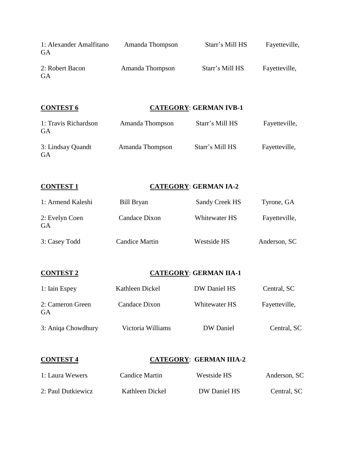| 1: Alexander Amalfitano<br>GA | Amanda Thompson | Starr's Mill HS | Fayetteville, |
|-------------------------------|-----------------|-----------------|---------------|
| 2: Robert Bacon<br>GA         | Amanda Thompson | Starr's Mill HS | Fayetteville, |

### **CONTEST 6 CATEGORY**: **GERMAN IVB-1**

| 1: Travis Richardson<br>GA | Amanda Thompson | Starr's Mill HS | Fayetteville, |
|----------------------------|-----------------|-----------------|---------------|
| 3: Lindsay Quandt<br>GA    | Amanda Thompson | Starr's Mill HS | Fayetteville, |

#### **CONTEST 1 CATEGORY**: **GERMAN IA-2**

| 1: Armend Kaleshi    | Bill Bryan     | <b>Sandy Creek HS</b> | Tyrone, GA    |
|----------------------|----------------|-----------------------|---------------|
| 2: Evelyn Coen<br>GA | Candace Dixon  | Whitewater HS         | Fayetteville, |
| 3: Casey Todd        | Candice Martin | Westside HS           | Anderson, SC  |

#### **CONTEST 2 CATEGORY**: **GERMAN IIA-1**

| 1: Iain Espey          | Kathleen Dickel   | DW Daniel HS  | Central, SC   |
|------------------------|-------------------|---------------|---------------|
| 2: Cameron Green<br>GA | Candace Dixon     | Whitewater HS | Fayetteville, |
| 3: Aniqa Chowdhury     | Victoria Williams | DW Daniel     | Central, SC   |

### **CONTEST 4 CATEGORY**: **GERMAN IIIA-2**

| 1: Laura Wewers    | Candice Martin  | Westside HS  | Anderson, SC |
|--------------------|-----------------|--------------|--------------|
| 2: Paul Dutkiewicz | Kathleen Dickel | DW Daniel HS | Central, SC  |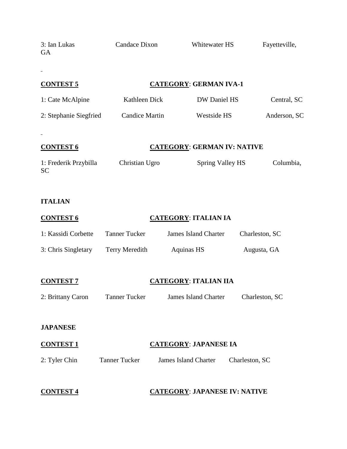| 3: Ian Lukas<br>GA          | <b>Candace Dixon</b>  | Whitewater HS                        |                | Fayetteville, |
|-----------------------------|-----------------------|--------------------------------------|----------------|---------------|
| <b>CONTEST 5</b>            |                       | <b>CATEGORY: GERMAN IVA-1</b>        |                |               |
| 1: Cate McAlpine            | Kathleen Dick         | DW Daniel HS                         |                | Central, SC   |
| 2: Stephanie Siegfried      | <b>Candice Martin</b> | Westside HS                          |                | Anderson, SC  |
| <b>CONTEST 6</b>            |                       | <b>CATEGORY: GERMAN IV: NATIVE</b>   |                |               |
| 1: Frederik Przybilla<br>SC | Christian Ugro        | Spring Valley HS                     |                | Columbia,     |
| <b>ITALIAN</b>              |                       |                                      |                |               |
| <b>CONTEST 6</b>            |                       | <b>CATEGORY: ITALIAN IA</b>          |                |               |
| 1: Kassidi Corbette         | <b>Tanner Tucker</b>  | <b>James Island Charter</b>          | Charleston, SC |               |
| 3: Chris Singletary         | <b>Terry Meredith</b> | <b>Aquinas HS</b>                    | Augusta, GA    |               |
| <b>CONTEST 7</b>            |                       | <b>CATEGORY: ITALIAN IIA</b>         |                |               |
| 2: Brittany Caron           | <b>Tanner Tucker</b>  | James Island Charter                 | Charleston, SC |               |
| <b>JAPANESE</b>             |                       |                                      |                |               |
| <b>CONTEST 1</b>            |                       | <b>CATEGORY: JAPANESE IA</b>         |                |               |
| 2: Tyler Chin               | <b>Tanner Tucker</b>  | <b>James Island Charter</b>          | Charleston, SC |               |
| <b>CONTEST 4</b>            |                       | <b>CATEGORY: JAPANESE IV: NATIVE</b> |                |               |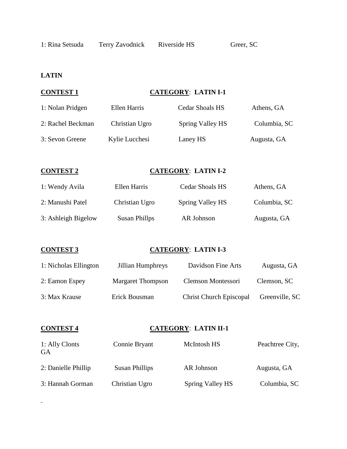### **LATIN**

#### **CONTEST 1 CATEGORY**: **LATIN I-1**

| 1: Nolan Pridgen  | Ellen Harris   | Cedar Shoals HS  | Athens, GA   |
|-------------------|----------------|------------------|--------------|
| 2: Rachel Beckman | Christian Ugro | Spring Valley HS | Columbia, SC |
| 3: Sevon Greene   | Kylie Lucchesi | Laney HS         | Augusta, GA  |

#### **CONTEST 2 CATEGORY**: **LATIN I-2**

| 1: Wendy Avila      | Ellen Harris   | Cedar Shoals HS  | Athens, GA   |
|---------------------|----------------|------------------|--------------|
| 2: Manushi Patel    | Christian Ugro | Spring Valley HS | Columbia, SC |
| 3: Ashleigh Bigelow | Susan Phillps  | AR Johnson       | Augusta, GA  |

#### **CONTEST 3 CATEGORY**: **LATIN I-3**

| 1: Nicholas Ellington | Jillian Humphreys        | Davidson Fine Arts             | Augusta, GA    |
|-----------------------|--------------------------|--------------------------------|----------------|
| 2: Eamon Espey        | <b>Margaret Thompson</b> | Clemson Montessori             | Clemson, SC    |
| 3: Max Krause         | Erick Bousman            | <b>Christ Church Episcopal</b> | Greenville, SC |

 $\frac{1}{2}$ 

### **CONTEST 4 CATEGORY**: **LATIN II-1**

| 1: Ally Clonts<br>GA | Connie Bryant         | McIntosh HS             | Peachtree City, |
|----------------------|-----------------------|-------------------------|-----------------|
| 2: Danielle Phillip  | <b>Susan Phillips</b> | AR Johnson              | Augusta, GA     |
| 3: Hannah Gorman     | Christian Ugro        | <b>Spring Valley HS</b> | Columbia, SC    |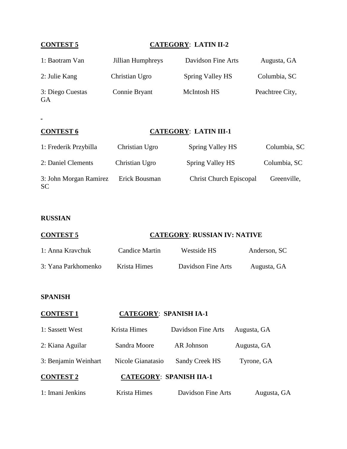### **CONTEST 5 CATEGORY**: **LATIN II-2**

| 1: Baotram Van                | Jillian Humphreys | Davidson Fine Arts | Augusta, GA     |
|-------------------------------|-------------------|--------------------|-----------------|
| 2: Julie Kang                 | Christian Ugro    | Spring Valley HS   | Columbia, SC    |
| 3: Diego Cuestas<br><b>GA</b> | Connie Bryant     | <b>McIntosh HS</b> | Peachtree City, |

#### **CONTEST 6 CATEGORY**: **LATIN III-1**

| 1: Frederik Przybilla               | Christian Ugro | <b>Spring Valley HS</b>        | Columbia, SC |
|-------------------------------------|----------------|--------------------------------|--------------|
| 2: Daniel Clements                  | Christian Ugro | Spring Valley HS               | Columbia, SC |
| 3: John Morgan Ramirez<br><b>SC</b> | Erick Bousman  | <b>Christ Church Episcopal</b> | Greenville,  |

#### **RUSSIAN**

# **CONTEST 5 CATEGORY**: **RUSSIAN IV: NATIVE** 1: Anna Kravchuk Candice Martin Westside HS Anderson, SC

| 3: Yana Parkhomenko | Krista Himes | Davidson Fine Arts | Augusta, GA |
|---------------------|--------------|--------------------|-------------|

#### **SPANISH**

| <b>CONTEST1</b>      | <b>CATEGORY: SPANISH IA-1</b>  |                    |             |
|----------------------|--------------------------------|--------------------|-------------|
| 1: Sassett West      | Krista Himes                   | Davidson Fine Arts | Augusta, GA |
| 2: Kiana Aguilar     | Sandra Moore                   | AR Johnson         | Augusta, GA |
| 3: Benjamin Weinhart | Nicole Gianatasio              | Sandy Creek HS     | Tyrone, GA  |
| <b>CONTEST 2</b>     | <b>CATEGORY: SPANISH IIA-1</b> |                    |             |
| 1: Imani Jenkins     | Krista Himes                   | Davidson Fine Arts | Augusta, GA |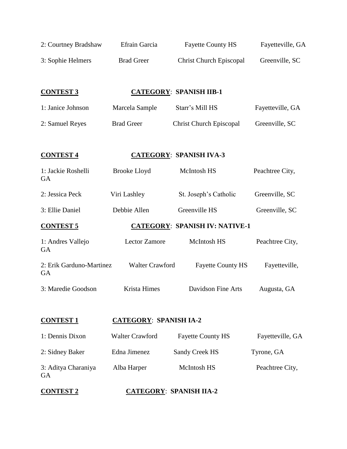| 2: Courtney Bradshaw                  | Efrain Garcia                  | <b>Fayette County HS</b>              | Fayetteville, GA |
|---------------------------------------|--------------------------------|---------------------------------------|------------------|
| 3: Sophie Helmers                     | <b>Brad Greer</b>              | <b>Christ Church Episcopal</b>        | Greenville, SC   |
|                                       |                                |                                       |                  |
| <b>CONTEST 3</b>                      |                                | <b>CATEGORY: SPANISH IIB-1</b>        |                  |
| 1: Janice Johnson                     | Marcela Sample                 | Starr's Mill HS                       | Fayetteville, GA |
| 2: Samuel Reyes                       | <b>Brad Greer</b>              | <b>Christ Church Episcopal</b>        | Greenville, SC   |
| <b>CONTEST 4</b>                      |                                | <b>CATEGORY: SPANISH IVA-3</b>        |                  |
| 1: Jackie Roshelli<br><b>GA</b>       | <b>Brooke Lloyd</b>            | McIntosh HS                           | Peachtree City,  |
| 2: Jessica Peck                       | Viri Lashley                   | St. Joseph's Catholic                 | Greenville, SC   |
| 3: Ellie Daniel                       | Debbie Allen                   | Greenville HS                         | Greenville, SC   |
| <b>CONTEST 5</b>                      |                                | <b>CATEGORY: SPANISH IV: NATIVE-1</b> |                  |
| 1: Andres Vallejo<br><b>GA</b>        | <b>Lector Zamore</b>           | McIntosh HS                           | Peachtree City,  |
| 2: Erik Garduno-Martinez<br><b>GA</b> | <b>Walter Crawford</b>         | <b>Fayette County HS</b>              | Fayetteville,    |
| 3: Maredie Goodson                    | Krista Himes                   | Davidson Fine Arts                    | Augusta, GA      |
| <b>CONTEST 1</b>                      | <b>CATEGORY: SPANISH IA-2</b>  |                                       |                  |
| 1: Dennis Dixon                       | <b>Walter Crawford</b>         | <b>Fayette County HS</b>              | Fayetteville, GA |
| 2: Sidney Baker                       | Edna Jimenez                   | Sandy Creek HS                        | Tyrone, GA       |
| 3: Aditya Charaniya<br>GA             | Alba Harper                    | McIntosh HS                           | Peachtree City,  |
| <b>CONTEST 2</b>                      | <b>CATEGORY: SPANISH IIA-2</b> |                                       |                  |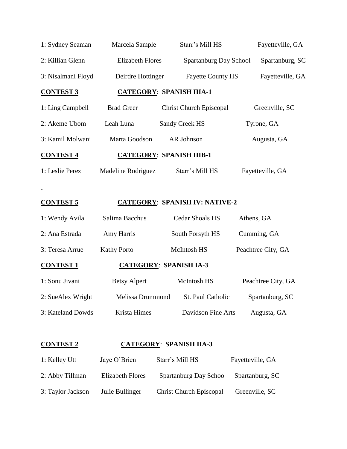| 1: Sydney Seaman   | Marcela Sample          | Starr's Mill HS                 | Fayetteville, GA |
|--------------------|-------------------------|---------------------------------|------------------|
| 2: Killian Glenn   | <b>Elizabeth Flores</b> | Spartanburg Day School          | Spartanburg, SC  |
| 3: Nisalmani Floyd | Deirdre Hottinger       | <b>Fayette County HS</b>        | Fayetteville, GA |
| <b>CONTEST 3</b>   |                         | <b>CATEGORY: SPANISH IIIA-1</b> |                  |
| 1: Ling Campbell   | <b>Brad Greer</b>       | <b>Christ Church Episcopal</b>  | Greenville, SC   |
| 2: Akeme Ubom      | Leah Luna               | Sandy Creek HS                  | Tyrone, GA       |
| 3: Kamil Molwani   | Marta Goodson           | AR Johnson                      | Augusta, GA      |
| <b>CONTEST 4</b>   |                         | <b>CATEGORY: SPANISH IIIB-1</b> |                  |
| 1: Leslie Perez    | Madeline Rodriguez      | Starr's Mill HS                 | Fayetteville, GA |
|                    |                         |                                 |                  |

### **CONTEST 5 CATEGORY**: **SPANISH IV: NATIVE-2**

 $\sim$ 

| 1: Sonu Jivani   | <b>Betsy Alpert</b> | <b>McIntosh HS</b>            | Peachtree City, GA |
|------------------|---------------------|-------------------------------|--------------------|
| <b>CONTEST 1</b> |                     | <b>CATEGORY: SPANISH IA-3</b> |                    |
| 3: Teresa Arrue  | <b>Kathy Porto</b>  | McIntosh HS                   | Peachtree City, GA |
| 2: Ana Estrada   | Amy Harris          | South Forsyth HS              | Cumming, GA        |
| 1: Wendy Avila   | Salima Bacchus      | <b>Cedar Shoals HS</b>        | Athens, GA         |

| 2: SueAlex Wright | Melissa Drummond | St. Paul Catholic  | Spartanburg, SC |
|-------------------|------------------|--------------------|-----------------|
| 3: Kateland Dowds | Krista Himes     | Davidson Fine Arts | Augusta, GA     |

### **CONTEST 2 CATEGORY**: **SPANISH IIA-3**

| 1: Kelley Utt     | Jaye O'Brien            | Starr's Mill HS                | Fayetteville, GA |
|-------------------|-------------------------|--------------------------------|------------------|
| 2: Abby Tillman   | <b>Elizabeth Flores</b> | Spartanburg Day Schoo          | Spartanburg, SC  |
| 3: Taylor Jackson | Julie Bullinger         | <b>Christ Church Episcopal</b> | Greenville, SC   |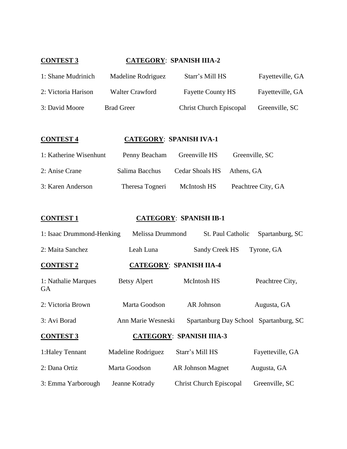### **CONTEST 3 CATEGORY**: **SPANISH IIIA-2**

| 1: Shane Mudrinich  | Madeline Rodriguez | Starr's Mill HS                | Fayetteville, GA |
|---------------------|--------------------|--------------------------------|------------------|
| 2: Victoria Harison | Walter Crawford    | <b>Fayette County HS</b>       | Fayetteville, GA |
| 3: David Moore      | <b>Brad Greer</b>  | <b>Christ Church Episcopal</b> | Greenville, SC   |

#### **CONTEST 4 CATEGORY**: **SPANISH IVA-1**

| 1: Katherine Wisenhunt | Penny Beacham   | Greenville HS              | Greenville, SC     |
|------------------------|-----------------|----------------------------|--------------------|
| 2: Anise Crane         | Salima Bacchus  | Cedar Shoals HS Athens, GA |                    |
| 3: Karen Anderson      | Theresa Togneri | McIntosh HS                | Peachtree City, GA |

#### **CONTEST 1 CATEGORY**: **SPANISH IB-1**

| 1: Isaac Drummond-Henking                           | Melissa Drummond    | St. Paul Catholic              | Spartanburg, SC                        |
|-----------------------------------------------------|---------------------|--------------------------------|----------------------------------------|
| 2: Maita Sanchez                                    | Leah Luna           | <b>Sandy Creek HS</b>          | Tyrone, GA                             |
| <b>CONTEST 2</b>                                    |                     | <b>CATEGORY: SPANISH IIA-4</b> |                                        |
| 1: Nathalie Marques<br><b>GA</b>                    | <b>Betsy Alpert</b> | <b>McIntosh HS</b>             | Peachtree City,                        |
| 2: Victoria Brown                                   | Marta Goodson       | AR Johnson                     | Augusta, GA                            |
| 3: Avi Borad                                        | Ann Marie Wesneski  |                                | Spartanburg Day School Spartanburg, SC |
| <b>CONTEST 3</b><br><b>CATEGORY: SPANISH IIIA-3</b> |                     |                                |                                        |
| 1: Haley Tennant                                    | Madeline Rodriguez  | Starr's Mill HS                | Fayetteville, GA                       |
| 2: Dana Ortiz                                       | Marta Goodson       | <b>AR Johnson Magnet</b>       | Augusta, GA                            |
| 3: Emma Yarborough                                  | Jeanne Kotrady      | <b>Christ Church Episcopal</b> | Greenville, SC                         |